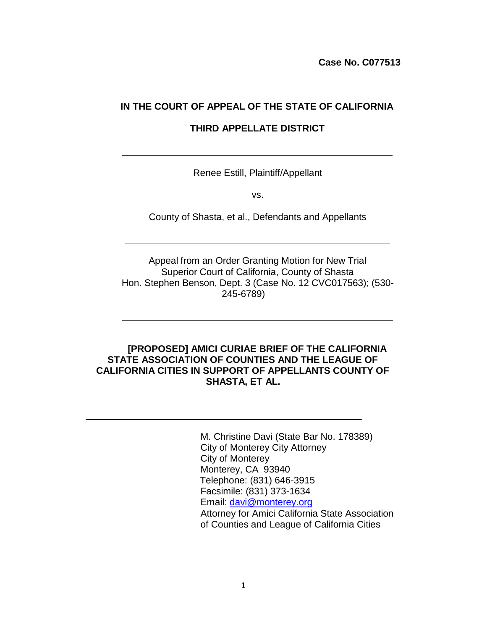**Case No. C077513**

#### **IN THE COURT OF APPEAL OF THE STATE OF CALIFORNIA**

#### **THIRD APPELLATE DISTRICT**

Renee Estill, Plaintiff/Appellant

vs.

County of Shasta, et al., Defendants and Appellants

Appeal from an Order Granting Motion for New Trial Superior Court of California, County of Shasta Hon. Stephen Benson, Dept. 3 (Case No. 12 CVC017563); (530- 245-6789)

#### **[PROPOSED] AMICI CURIAE BRIEF OF THE CALIFORNIA STATE ASSOCIATION OF COUNTIES AND THE LEAGUE OF CALIFORNIA CITIES IN SUPPORT OF APPELLANTS COUNTY OF SHASTA, ET AL.**

M. Christine Davi (State Bar No. 178389) City of Monterey City Attorney City of Monterey Monterey, CA 93940 Telephone: (831) 646-3915 Facsimile: (831) 373-1634 Email: [davi@monterey.org](mailto:davi@monterey.org) Attorney for Amici California State Association of Counties and League of California Cities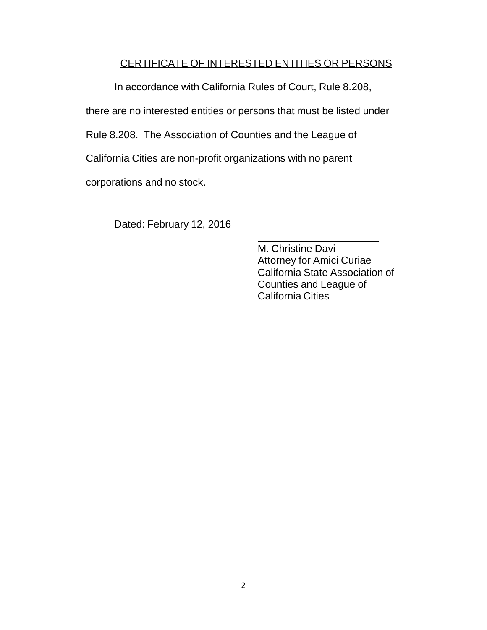### CERTIFICATE OF INTERESTED ENTITIES OR PERSONS

In accordance with California Rules of Court, Rule 8.208,

there are no interested entities or persons that must be listed under

Rule 8.208. The Association of Counties and the League of

California Cities are non-profit organizations with no parent

corporations and no stock.

Dated: February 12, 2016

M. Christine Davi Attorney for Amici Curiae California State Association of Counties and League of California Cities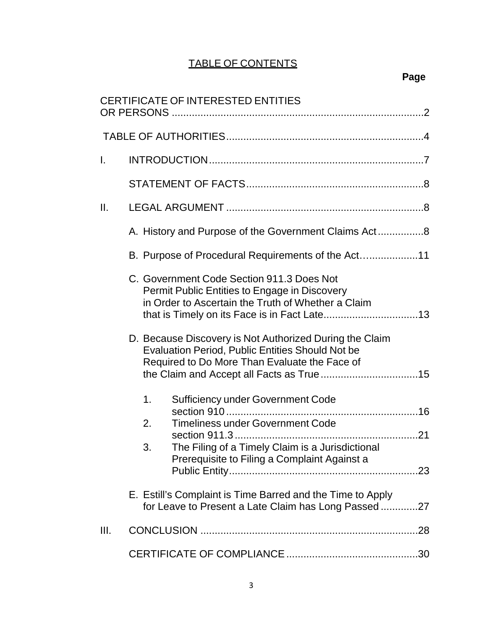## TABLE OF CONTENTS

# **Page**

|                 | CERTIFICATE OF INTERESTED ENTITIES                                                                                                                                                                                    |
|-----------------|-----------------------------------------------------------------------------------------------------------------------------------------------------------------------------------------------------------------------|
|                 |                                                                                                                                                                                                                       |
| $\mathbf{L}$    |                                                                                                                                                                                                                       |
|                 |                                                                                                                                                                                                                       |
| $\mathbf{II}$ . |                                                                                                                                                                                                                       |
|                 | A. History and Purpose of the Government Claims Act8                                                                                                                                                                  |
|                 | B. Purpose of Procedural Requirements of the Act                                                                                                                                                                      |
|                 | C. Government Code Section 911.3 Does Not<br>Permit Public Entities to Engage in Discovery<br>in Order to Ascertain the Truth of Whether a Claim                                                                      |
|                 | D. Because Discovery is Not Authorized During the Claim<br><b>Evaluation Period, Public Entities Should Not be</b><br>Required to Do More Than Evaluate the Face of                                                   |
|                 | <b>Sufficiency under Government Code</b><br>1 <sub>1</sub><br><b>Timeliness under Government Code</b><br>2.<br>The Filing of a Timely Claim is a Jurisdictional<br>3.<br>Prerequisite to Filing a Complaint Against a |
|                 | E. Estill's Complaint is Time Barred and the Time to Apply<br>for Leave to Present a Late Claim has Long Passed27                                                                                                     |
| III.            |                                                                                                                                                                                                                       |
|                 |                                                                                                                                                                                                                       |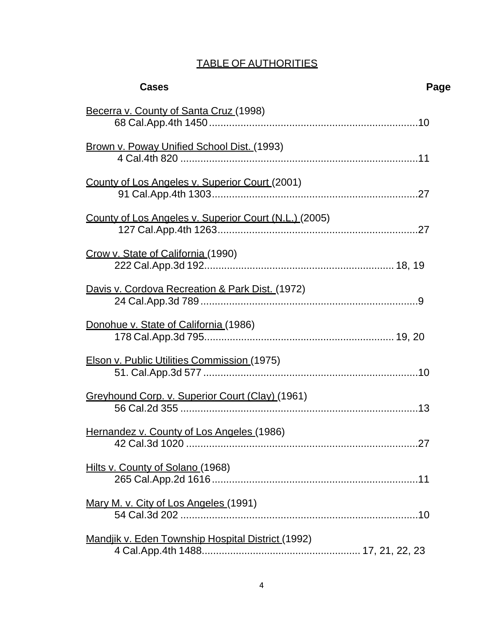## TABLE OF AUTHORITIES

| <b>Cases</b>                                             | Page |
|----------------------------------------------------------|------|
| Becerra v. County of Santa Cruz (1998)                   |      |
| <b>Brown v. Poway Unified School Dist. (1993)</b>        |      |
| County of Los Angeles v. Superior Court (2001)           |      |
| County of Los Angeles v. Superior Court (N.L.) (2005)    |      |
| Crow v. State of California (1990)                       |      |
| Davis v. Cordova Recreation & Park Dist. (1972)          |      |
| Donohue v. State of California (1986)                    |      |
| Elson v. Public Utilities Commission (1975)              |      |
| Greyhound Corp. v. Superior Court (Clay) (1961)          |      |
| Hernandez v. County of Los Angeles (1986)                |      |
| Hilts v. County of Solano (1968)                         |      |
| Mary M. v. City of Los Angeles (1991)                    |      |
| <b>Mandjik v. Eden Township Hospital District (1992)</b> |      |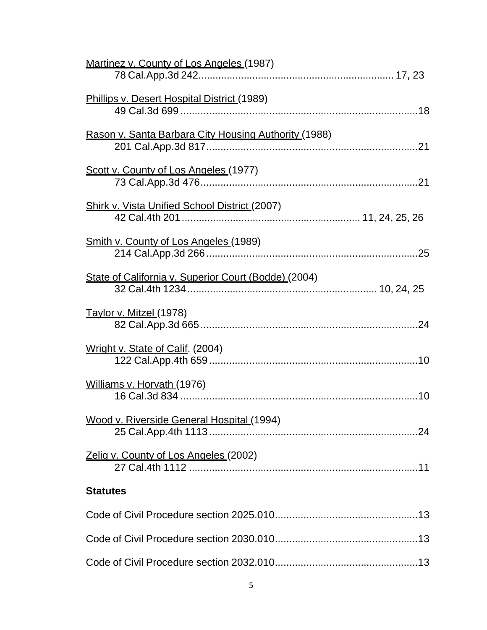| Martinez v. County of Los Angeles (1987)             |
|------------------------------------------------------|
| Phillips v. Desert Hospital District (1989)          |
| Rason v. Santa Barbara City Housing Authority (1988) |
| Scott v. County of Los Angeles (1977)                |
| Shirk v. Vista Unified School District (2007)        |
| <b>Smith v. County of Los Angeles (1989)</b>         |
| State of California v. Superior Court (Bodde) (2004) |
| Taylor v. Mitzel (1978)                              |
| Wright v. State of Calif. (2004)                     |
| Williams v. Horvath (1976)                           |
| Wood v. Riverside General Hospital (1994)            |
| Zelig v. County of Los Angeles (2002)                |
| <b>Statutes</b>                                      |
|                                                      |
|                                                      |
|                                                      |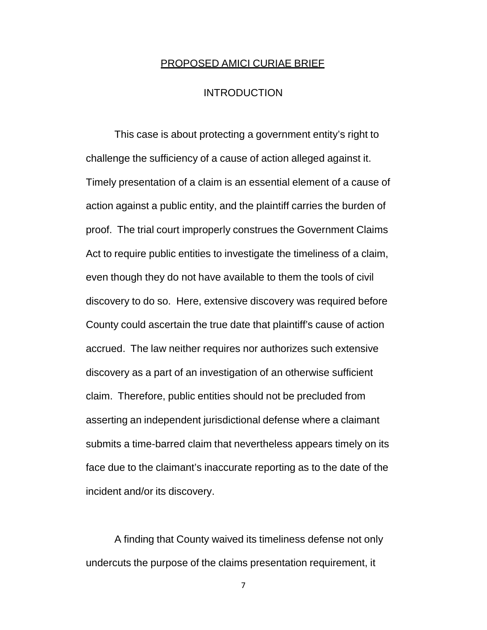#### PROPOSED AMICI CURIAE BRIEF

#### **INTRODUCTION**

This case is about protecting a government entity's right to challenge the sufficiency of a cause of action alleged against it. Timely presentation of a claim is an essential element of a cause of action against a public entity, and the plaintiff carries the burden of proof. The trial court improperly construes the Government Claims Act to require public entities to investigate the timeliness of a claim, even though they do not have available to them the tools of civil discovery to do so. Here, extensive discovery was required before County could ascertain the true date that plaintiff's cause of action accrued. The law neither requires nor authorizes such extensive discovery as a part of an investigation of an otherwise sufficient claim. Therefore, public entities should not be precluded from asserting an independent jurisdictional defense where a claimant submits a time-barred claim that nevertheless appears timely on its face due to the claimant's inaccurate reporting as to the date of the incident and/or its discovery.

A finding that County waived its timeliness defense not only undercuts the purpose of the claims presentation requirement, it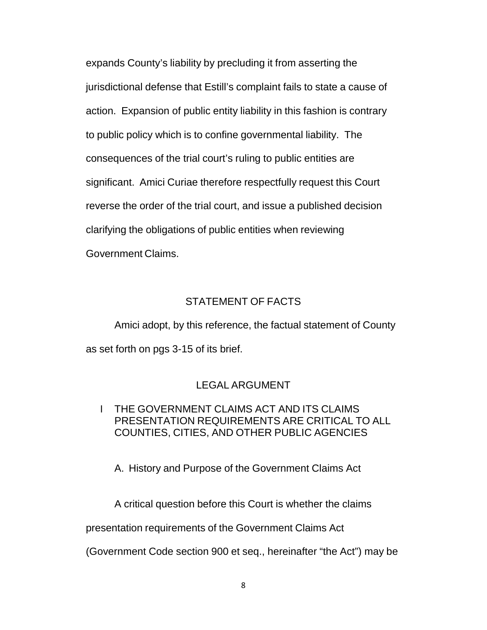expands County's liability by precluding it from asserting the jurisdictional defense that Estill's complaint fails to state a cause of action. Expansion of public entity liability in this fashion is contrary to public policy which is to confine governmental liability. The consequences of the trial court's ruling to public entities are significant. Amici Curiae therefore respectfully request this Court reverse the order of the trial court, and issue a published decision clarifying the obligations of public entities when reviewing Government Claims.

#### STATEMENT OF FACTS

Amici adopt, by this reference, the factual statement of County as set forth on pgs 3-15 of its brief.

#### LEGAL ARGUMENT

### I THE GOVERNMENT CLAIMS ACT AND ITS CLAIMS PRESENTATION REQUIREMENTS ARE CRITICAL TO ALL COUNTIES, CITIES, AND OTHER PUBLIC AGENCIES

A. History and Purpose of the Government Claims Act

A critical question before this Court is whether the claims

presentation requirements of the Government Claims Act

(Government Code section 900 et seq., hereinafter "the Act") may be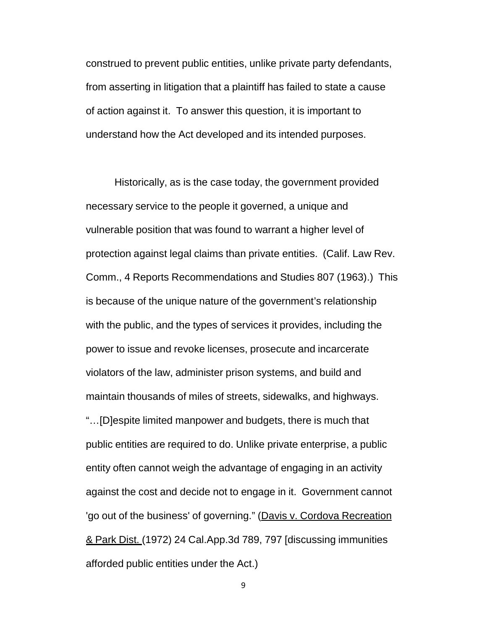construed to prevent public entities, unlike private party defendants, from asserting in litigation that a plaintiff has failed to state a cause of action against it. To answer this question, it is important to understand how the Act developed and its intended purposes.

Historically, as is the case today, the government provided necessary service to the people it governed, a unique and vulnerable position that was found to warrant a higher level of protection against legal claims than private entities. (Calif. Law Rev. Comm., 4 Reports Recommendations and Studies 807 (1963).) This is because of the unique nature of the government's relationship with the public, and the types of services it provides, including the power to issue and revoke licenses, prosecute and incarcerate violators of the law, administer prison systems, and build and maintain thousands of miles of streets, sidewalks, and highways. "…[D]espite limited manpower and budgets, there is much that public entities are required to do. Unlike private enterprise, a public entity often cannot weigh the advantage of engaging in an activity against the cost and decide not to engage in it. Government cannot 'go out of the business' of governing." (Davis v. Cordova Recreation & Park Dist. (1972) 24 Cal.App.3d 789, 797 [discussing immunities afforded public entities under the Act.)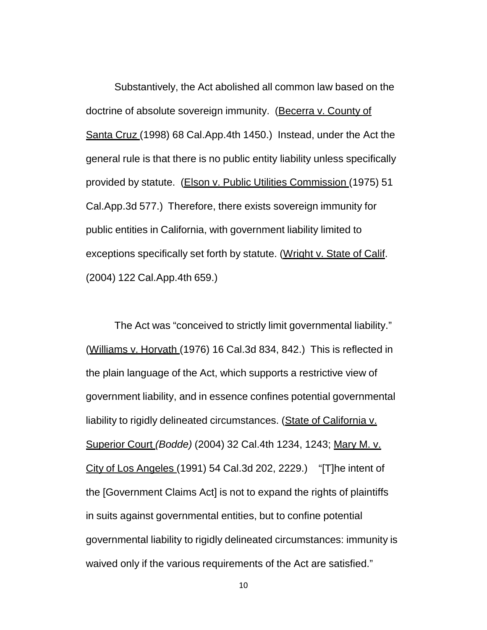Substantively, the Act abolished all common law based on the doctrine of absolute sovereign immunity. (Becerra v. County of Santa Cruz (1998) 68 Cal.App.4th 1450.) Instead, under the Act the general rule is that there is no public entity liability unless specifically provided by statute. (Elson v. Public Utilities Commission (1975) 51 Cal.App.3d 577.) Therefore, there exists sovereign immunity for public entities in California, with government liability limited to exceptions specifically set forth by statute. (Wright v. State of Calif. (2004) 122 Cal.App.4th 659.)

The Act was "conceived to strictly limit governmental liability." (Williams v. Horvath (1976) 16 Cal.3d 834, 842.) This is reflected in the plain language of the Act, which supports a restrictive view of government liability, and in essence confines potential governmental liability to rigidly delineated circumstances. (State of California v. Superior Court *(Bodde)* (2004) 32 Cal.4th 1234, 1243; Mary M. v. City of Los Angeles (1991) 54 Cal.3d 202, 2229.) "[T]he intent of the [Government Claims Act] is not to expand the rights of plaintiffs in suits against governmental entities, but to confine potential governmental liability to rigidly delineated circumstances: immunity is waived only if the various requirements of the Act are satisfied."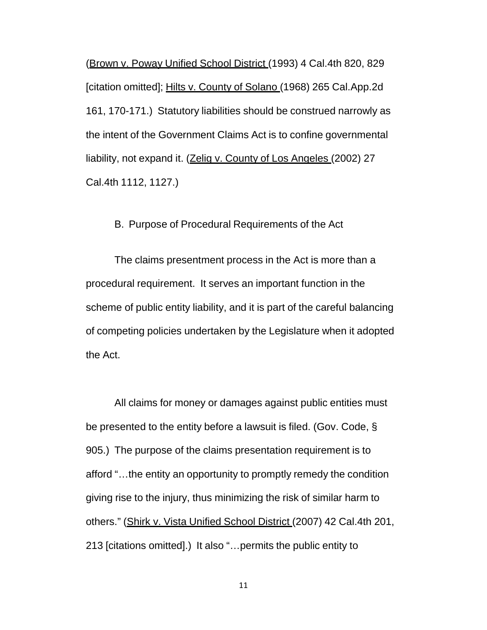(Brown v. Poway Unified School District (1993) 4 Cal.4th 820, 829 [citation omitted]; Hilts v. County of Solano (1968) 265 Cal.App.2d 161, 170-171.) Statutory liabilities should be construed narrowly as the intent of the Government Claims Act is to confine governmental liability, not expand it. (Zelig v. County of Los Angeles (2002) 27 Cal.4th 1112, 1127.)

B. Purpose of Procedural Requirements of the Act

The claims presentment process in the Act is more than a procedural requirement. It serves an important function in the scheme of public entity liability, and it is part of the careful balancing of competing policies undertaken by the Legislature when it adopted the Act.

All claims for money or damages against public entities must be presented to the entity before a lawsuit is filed. (Gov. Code, § 905.) The purpose of the claims presentation requirement is to afford "…the entity an opportunity to promptly remedy the condition giving rise to the injury, thus minimizing the risk of similar harm to others." (Shirk v. Vista Unified School District (2007) 42 Cal.4th 201, 213 [citations omitted].) It also "…permits the public entity to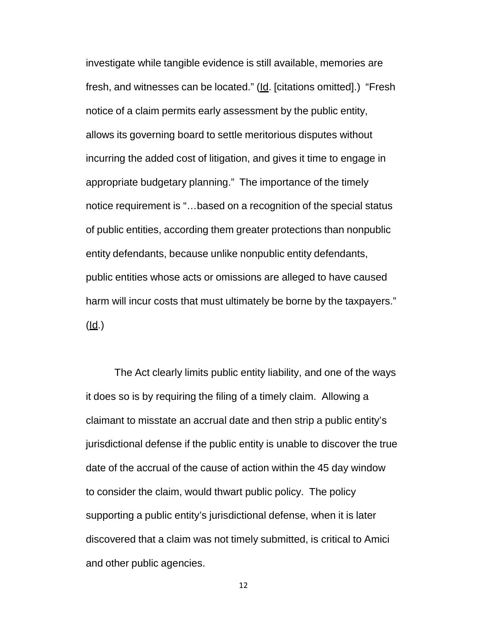investigate while tangible evidence is still available, memories are fresh, and witnesses can be located." (Id. [citations omitted].) "Fresh notice of a claim permits early assessment by the public entity, allows its governing board to settle meritorious disputes without incurring the added cost of litigation, and gives it time to engage in appropriate budgetary planning." The importance of the timely notice requirement is "…based on a recognition of the special status of public entities, according them greater protections than nonpublic entity defendants, because unlike nonpublic entity defendants, public entities whose acts or omissions are alleged to have caused harm will incur costs that must ultimately be borne by the taxpayers."  $(\mathsf{Id.})$ 

The Act clearly limits public entity liability, and one of the ways it does so is by requiring the filing of a timely claim. Allowing a claimant to misstate an accrual date and then strip a public entity's jurisdictional defense if the public entity is unable to discover the true date of the accrual of the cause of action within the 45 day window to consider the claim, would thwart public policy. The policy supporting a public entity's jurisdictional defense, when it is later discovered that a claim was not timely submitted, is critical to Amici and other public agencies.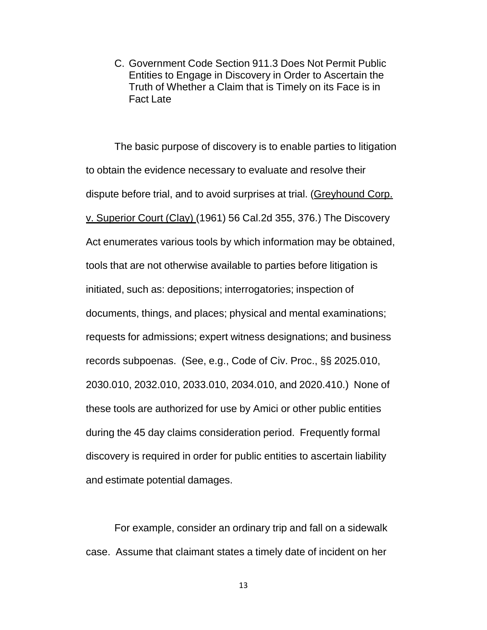C. Government Code Section 911.3 Does Not Permit Public Entities to Engage in Discovery in Order to Ascertain the Truth of Whether a Claim that is Timely on its Face is in Fact Late

The basic purpose of discovery is to enable parties to litigation to obtain the evidence necessary to evaluate and resolve their dispute before trial, and to avoid surprises at trial. (Greyhound Corp. v. Superior Court (Clay) (1961) 56 Cal.2d 355, 376.) The Discovery Act enumerates various tools by which information may be obtained, tools that are not otherwise available to parties before litigation is initiated, such as: depositions; interrogatories; inspection of documents, things, and places; physical and mental examinations; requests for admissions; expert witness designations; and business records subpoenas. (See, e.g., Code of Civ. Proc., §§ 2025.010, 2030.010, 2032.010, 2033.010, 2034.010, and 2020.410.) None of these tools are authorized for use by Amici or other public entities during the 45 day claims consideration period. Frequently formal discovery is required in order for public entities to ascertain liability and estimate potential damages.

For example, consider an ordinary trip and fall on a sidewalk case. Assume that claimant states a timely date of incident on her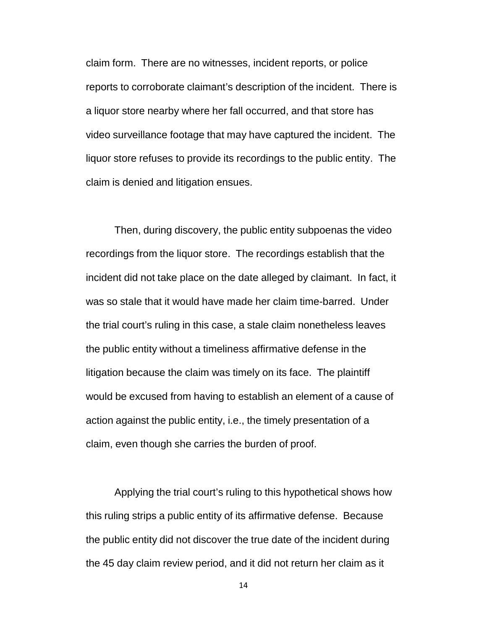claim form. There are no witnesses, incident reports, or police reports to corroborate claimant's description of the incident. There is a liquor store nearby where her fall occurred, and that store has video surveillance footage that may have captured the incident. The liquor store refuses to provide its recordings to the public entity. The claim is denied and litigation ensues.

Then, during discovery, the public entity subpoenas the video recordings from the liquor store. The recordings establish that the incident did not take place on the date alleged by claimant. In fact, it was so stale that it would have made her claim time-barred. Under the trial court's ruling in this case, a stale claim nonetheless leaves the public entity without a timeliness affirmative defense in the litigation because the claim was timely on its face. The plaintiff would be excused from having to establish an element of a cause of action against the public entity, i.e., the timely presentation of a claim, even though she carries the burden of proof.

Applying the trial court's ruling to this hypothetical shows how this ruling strips a public entity of its affirmative defense. Because the public entity did not discover the true date of the incident during the 45 day claim review period, and it did not return her claim as it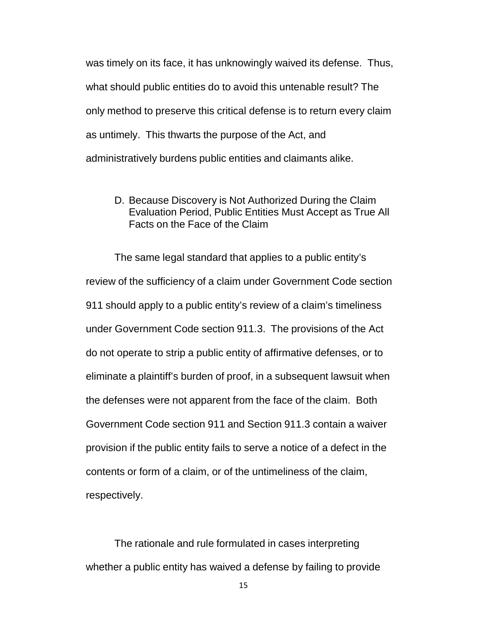was timely on its face, it has unknowingly waived its defense. Thus, what should public entities do to avoid this untenable result? The only method to preserve this critical defense is to return every claim as untimely. This thwarts the purpose of the Act, and administratively burdens public entities and claimants alike.

D. Because Discovery is Not Authorized During the Claim Evaluation Period, Public Entities Must Accept as True All Facts on the Face of the Claim

The same legal standard that applies to a public entity's review of the sufficiency of a claim under Government Code section 911 should apply to a public entity's review of a claim's timeliness under Government Code section 911.3. The provisions of the Act do not operate to strip a public entity of affirmative defenses, or to eliminate a plaintiff's burden of proof, in a subsequent lawsuit when the defenses were not apparent from the face of the claim. Both Government Code section 911 and Section 911.3 contain a waiver provision if the public entity fails to serve a notice of a defect in the contents or form of a claim, or of the untimeliness of the claim, respectively.

The rationale and rule formulated in cases interpreting whether a public entity has waived a defense by failing to provide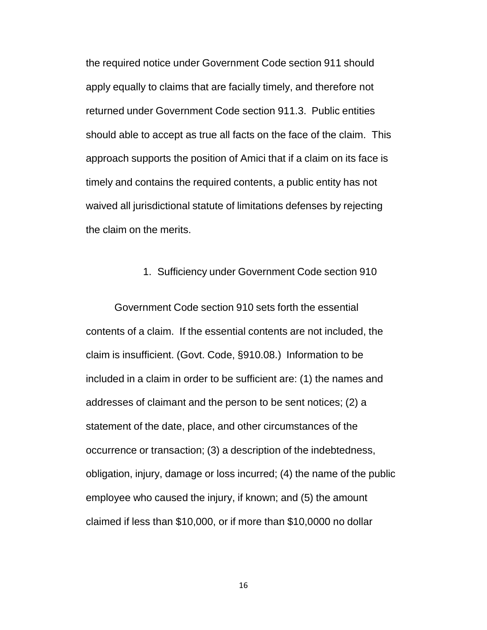the required notice under Government Code section 911 should apply equally to claims that are facially timely, and therefore not returned under Government Code section 911.3. Public entities should able to accept as true all facts on the face of the claim. This approach supports the position of Amici that if a claim on its face is timely and contains the required contents, a public entity has not waived all jurisdictional statute of limitations defenses by rejecting the claim on the merits.

#### 1. Sufficiency under Government Code section 910

Government Code section 910 sets forth the essential contents of a claim. If the essential contents are not included, the claim is insufficient. (Govt. Code, §910.08.) Information to be included in a claim in order to be sufficient are: (1) the names and addresses of claimant and the person to be sent notices; (2) a statement of the date, place, and other circumstances of the occurrence or transaction; (3) a description of the indebtedness, obligation, injury, damage or loss incurred; (4) the name of the public employee who caused the injury, if known; and (5) the amount claimed if less than \$10,000, or if more than \$10,0000 no dollar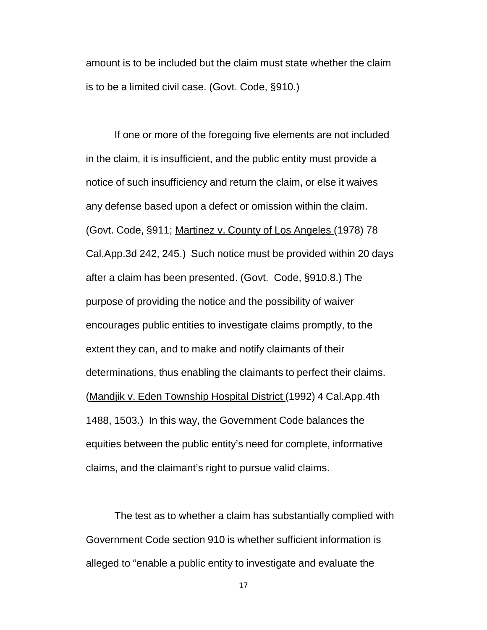amount is to be included but the claim must state whether the claim is to be a limited civil case. (Govt. Code, §910.)

If one or more of the foregoing five elements are not included in the claim, it is insufficient, and the public entity must provide a notice of such insufficiency and return the claim, or else it waives any defense based upon a defect or omission within the claim. (Govt. Code, §911; Martinez v. County of Los Angeles (1978) 78 Cal.App.3d 242, 245.) Such notice must be provided within 20 days after a claim has been presented. (Govt. Code, §910.8.) The purpose of providing the notice and the possibility of waiver encourages public entities to investigate claims promptly, to the extent they can, and to make and notify claimants of their determinations, thus enabling the claimants to perfect their claims. (Mandjik v. Eden Township Hospital District (1992) 4 Cal.App.4th 1488, 1503.) In this way, the Government Code balances the equities between the public entity's need for complete, informative claims, and the claimant's right to pursue valid claims.

The test as to whether a claim has substantially complied with Government Code section 910 is whether sufficient information is alleged to "enable a public entity to investigate and evaluate the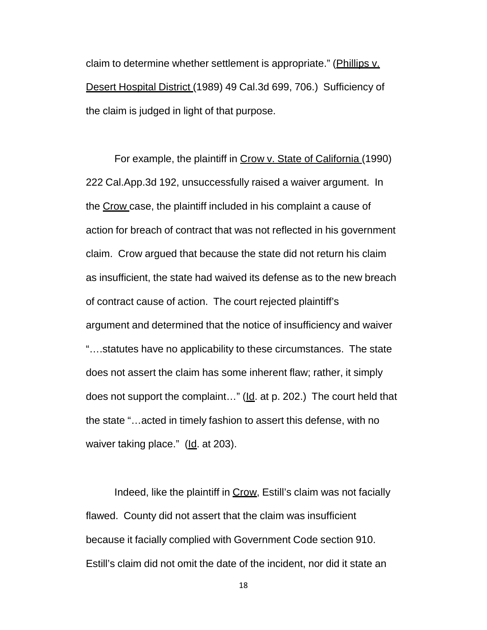claim to determine whether settlement is appropriate." (Phillips v. Desert Hospital District (1989) 49 Cal.3d 699, 706.) Sufficiency of the claim is judged in light of that purpose.

For example, the plaintiff in Crow v. State of California (1990) 222 Cal.App.3d 192, unsuccessfully raised a waiver argument. In the Crow case, the plaintiff included in his complaint a cause of action for breach of contract that was not reflected in his government claim. Crow argued that because the state did not return his claim as insufficient, the state had waived its defense as to the new breach of contract cause of action. The court rejected plaintiff's argument and determined that the notice of insufficiency and waiver "….statutes have no applicability to these circumstances. The state does not assert the claim has some inherent flaw; rather, it simply does not support the complaint..." (Id. at p. 202.) The court held that the state "…acted in timely fashion to assert this defense, with no waiver taking place." (Id. at 203).

Indeed, like the plaintiff in Crow, Estill's claim was not facially flawed. County did not assert that the claim was insufficient because it facially complied with Government Code section 910. Estill's claim did not omit the date of the incident, nor did it state an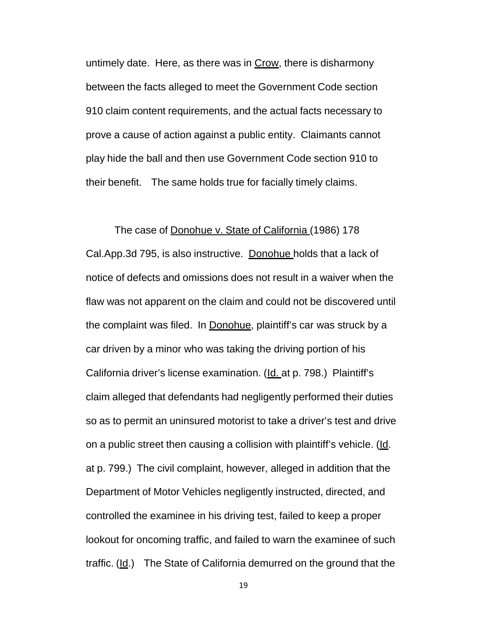untimely date. Here, as there was in Crow, there is disharmony between the facts alleged to meet the Government Code section 910 claim content requirements, and the actual facts necessary to prove a cause of action against a public entity. Claimants cannot play hide the ball and then use Government Code section 910 to their benefit. The same holds true for facially timely claims.

#### The case of Donohue v. State of California (1986) 178

Cal.App.3d 795, is also instructive. Donohue holds that a lack of notice of defects and omissions does not result in a waiver when the flaw was not apparent on the claim and could not be discovered until the complaint was filed. In Donohue, plaintiff's car was struck by a car driven by a minor who was taking the driving portion of his California driver's license examination. (Id. at p. 798.) Plaintiff's claim alleged that defendants had negligently performed their duties so as to permit an uninsured motorist to take a driver's test and drive on a public street then causing a collision with plaintiff's vehicle. (Id. at p. 799.) The civil complaint, however, alleged in addition that the Department of Motor Vehicles negligently instructed, directed, and controlled the examinee in his driving test, failed to keep a proper lookout for oncoming traffic, and failed to warn the examinee of such traffic.  $(ld)$  The State of California demurred on the ground that the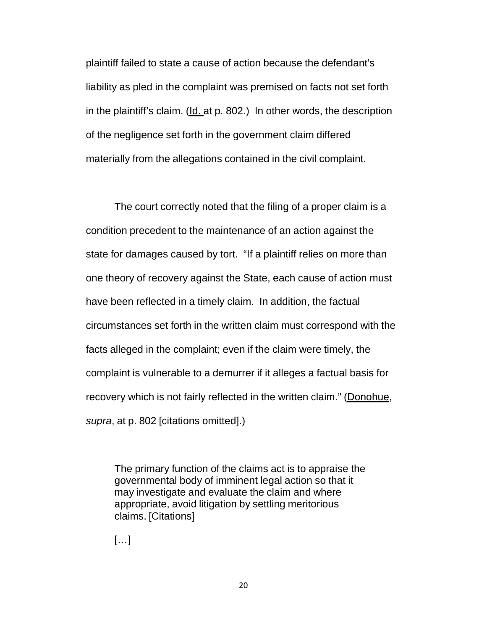plaintiff failed to state a cause of action because the defendant's liability as pled in the complaint was premised on facts not set forth in the plaintiff's claim. (Id. at p. 802.) In other words, the description of the negligence set forth in the government claim differed materially from the allegations contained in the civil complaint.

The court correctly noted that the filing of a proper claim is a condition precedent to the maintenance of an action against the state for damages caused by tort. "If a plaintiff relies on more than one theory of recovery against the State, each cause of action must have been reflected in a timely claim. In addition, the factual circumstances set forth in the written claim must correspond with the facts alleged in the complaint; even if the claim were timely, the complaint is vulnerable to a demurrer if it alleges a factual basis for recovery which is not fairly reflected in the written claim." (Donohue, *supra*, at p. 802 [citations omitted].)

The primary function of the claims act is to appraise the governmental body of imminent legal action so that it may investigate and evaluate the claim and where appropriate, avoid litigation by settling meritorious claims. [Citations]

[…]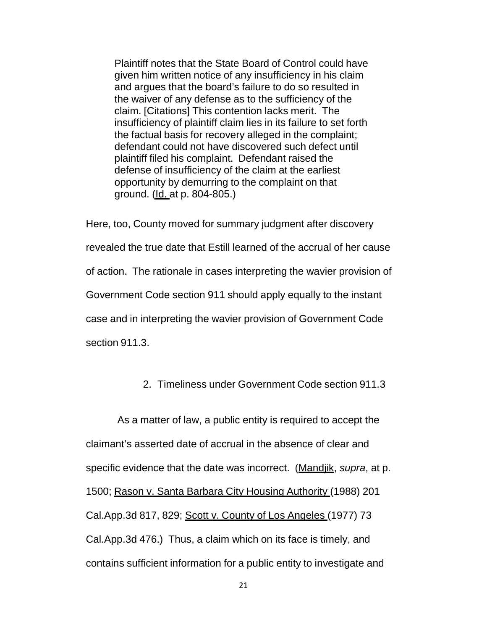Plaintiff notes that the State Board of Control could have given him written notice of any insufficiency in his claim and argues that the board's failure to do so resulted in the waiver of any defense as to the sufficiency of the claim. [Citations] This contention lacks merit. The insufficiency of plaintiff claim lies in its failure to set forth the factual basis for recovery alleged in the complaint; defendant could not have discovered such defect until plaintiff filed his complaint. Defendant raised the defense of insufficiency of the claim at the earliest opportunity by demurring to the complaint on that ground. (Id. at p. 804-805.)

Here, too, County moved for summary judgment after discovery revealed the true date that Estill learned of the accrual of her cause of action. The rationale in cases interpreting the wavier provision of Government Code section 911 should apply equally to the instant case and in interpreting the wavier provision of Government Code section 911.3.

2. Timeliness under Government Code section 911.3

As a matter of law, a public entity is required to accept the claimant's asserted date of accrual in the absence of clear and specific evidence that the date was incorrect. (Mandjik, *supra*, at p. 1500; Rason v. Santa Barbara City Housing Authority (1988) 201 Cal.App.3d 817, 829; Scott v. County of Los Angeles (1977) 73 Cal.App.3d 476.) Thus, a claim which on its face is timely, and contains sufficient information for a public entity to investigate and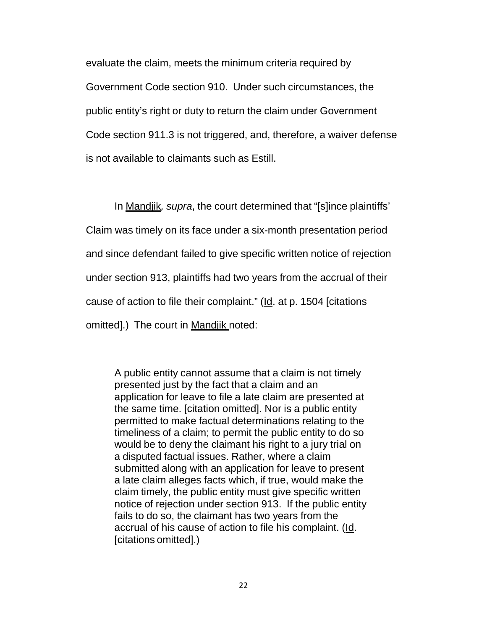evaluate the claim, meets the minimum criteria required by Government Code section 910. Under such circumstances, the public entity's right or duty to return the claim under Government Code section 911.3 is not triggered, and, therefore, a waiver defense is not available to claimants such as Estill.

In Mandjik*, supra*, the court determined that "[s]ince plaintiffs' Claim was timely on its face under a six-month presentation period and since defendant failed to give specific written notice of rejection under section 913, plaintiffs had two years from the accrual of their cause of action to file their complaint." ( $\underline{Id}$ . at p. 1504 [citations omitted].) The court in Mandjik noted:

A public entity cannot assume that a claim is not timely presented just by the fact that a claim and an application for leave to file a late claim are presented at the same time. [citation omitted]. Nor is a public entity permitted to make factual determinations relating to the timeliness of a claim; to permit the public entity to do so would be to deny the claimant his right to a jury trial on a disputed factual issues. Rather, where a claim submitted along with an application for leave to present a late claim alleges facts which, if true, would make the claim timely, the public entity must give specific written notice of rejection under section 913. If the public entity fails to do so, the claimant has two years from the accrual of his cause of action to file his complaint. (Id. [citations omitted].)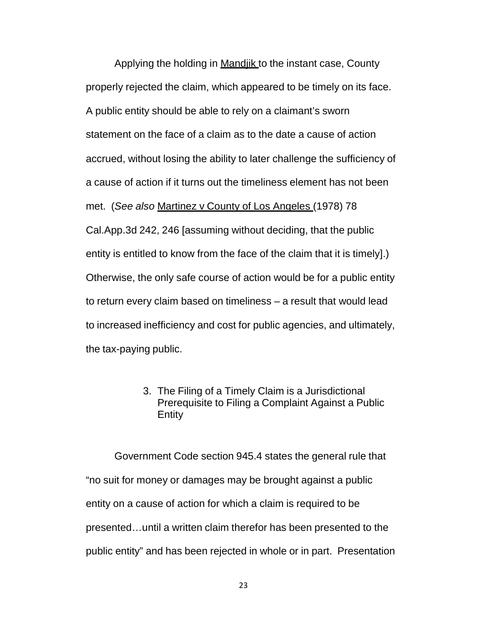Applying the holding in Mandiik to the instant case, County properly rejected the claim, which appeared to be timely on its face. A public entity should be able to rely on a claimant's sworn statement on the face of a claim as to the date a cause of action accrued, without losing the ability to later challenge the sufficiency of a cause of action if it turns out the timeliness element has not been met. (*See also* Martinez v County of Los Angeles (1978) 78 Cal.App.3d 242, 246 [assuming without deciding, that the public entity is entitled to know from the face of the claim that it is timely].) Otherwise, the only safe course of action would be for a public entity to return every claim based on timeliness – a result that would lead to increased inefficiency and cost for public agencies, and ultimately, the tax-paying public.

> 3. The Filing of a Timely Claim is a Jurisdictional Prerequisite to Filing a Complaint Against a Public Entity

Government Code section 945.4 states the general rule that "no suit for money or damages may be brought against a public entity on a cause of action for which a claim is required to be presented…until a written claim therefor has been presented to the public entity" and has been rejected in whole or in part. Presentation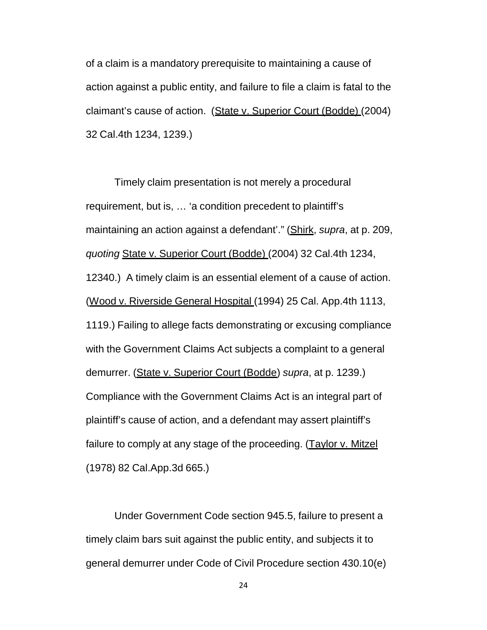of a claim is a mandatory prerequisite to maintaining a cause of action against a public entity, and failure to file a claim is fatal to the claimant's cause of action. (State v. Superior Court (Bodde) (2004) 32 Cal.4th 1234, 1239.)

Timely claim presentation is not merely a procedural requirement, but is, … 'a condition precedent to plaintiff's maintaining an action against a defendant'." (Shirk, *supra*, at p. 209, *quoting* State v. Superior Court (Bodde) (2004) 32 Cal.4th 1234, 12340.) A timely claim is an essential element of a cause of action. (Wood v. Riverside General Hospital (1994) 25 Cal. App.4th 1113, 1119.) Failing to allege facts demonstrating or excusing compliance with the Government Claims Act subjects a complaint to a general demurrer. (State v. Superior Court (Bodde) *supra*, at p. 1239.) Compliance with the Government Claims Act is an integral part of plaintiff's cause of action, and a defendant may assert plaintiff's failure to comply at any stage of the proceeding. (Taylor v. Mitzel (1978) 82 Cal.App.3d 665.)

Under Government Code section 945.5, failure to present a timely claim bars suit against the public entity, and subjects it to general demurrer under Code of Civil Procedure section 430.10(e)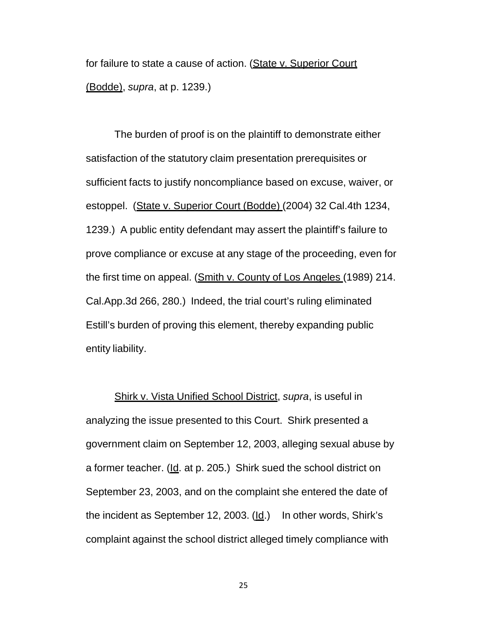for failure to state a cause of action. (State v. Superior Court (Bodde), *supra*, at p. 1239.)

The burden of proof is on the plaintiff to demonstrate either satisfaction of the statutory claim presentation prerequisites or sufficient facts to justify noncompliance based on excuse, waiver, or estoppel. (State v. Superior Court (Bodde) (2004) 32 Cal.4th 1234, 1239.) A public entity defendant may assert the plaintiff's failure to prove compliance or excuse at any stage of the proceeding, even for the first time on appeal. (Smith v. County of Los Angeles (1989) 214. Cal.App.3d 266, 280.) Indeed, the trial court's ruling eliminated Estill's burden of proving this element, thereby expanding public entity liability.

Shirk v. Vista Unified School District, *supra*, is useful in analyzing the issue presented to this Court. Shirk presented a government claim on September 12, 2003, alleging sexual abuse by a former teacher. (Id. at p. 205.) Shirk sued the school district on September 23, 2003, and on the complaint she entered the date of the incident as September 12, 2003.  $(\underline{Id})$  In other words, Shirk's complaint against the school district alleged timely compliance with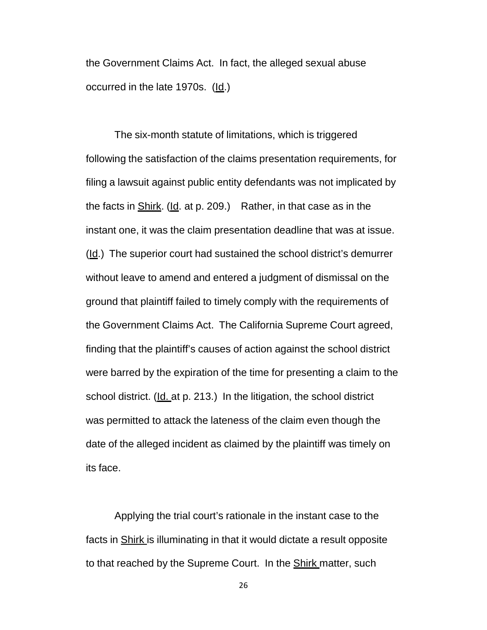the Government Claims Act. In fact, the alleged sexual abuse occurred in the late 1970s. (Id.)

The six-month statute of limitations, which is triggered following the satisfaction of the claims presentation requirements, for filing a lawsuit against public entity defendants was not implicated by the facts in Shirk. (Id. at p. 209.) Rather, in that case as in the instant one, it was the claim presentation deadline that was at issue. (Id.) The superior court had sustained the school district's demurrer without leave to amend and entered a judgment of dismissal on the ground that plaintiff failed to timely comply with the requirements of the Government Claims Act. The California Supreme Court agreed, finding that the plaintiff's causes of action against the school district were barred by the expiration of the time for presenting a claim to the school district. (Id. at p. 213.) In the litigation, the school district was permitted to attack the lateness of the claim even though the date of the alleged incident as claimed by the plaintiff was timely on its face.

Applying the trial court's rationale in the instant case to the facts in Shirk is illuminating in that it would dictate a result opposite to that reached by the Supreme Court. In the **Shirk matter**, such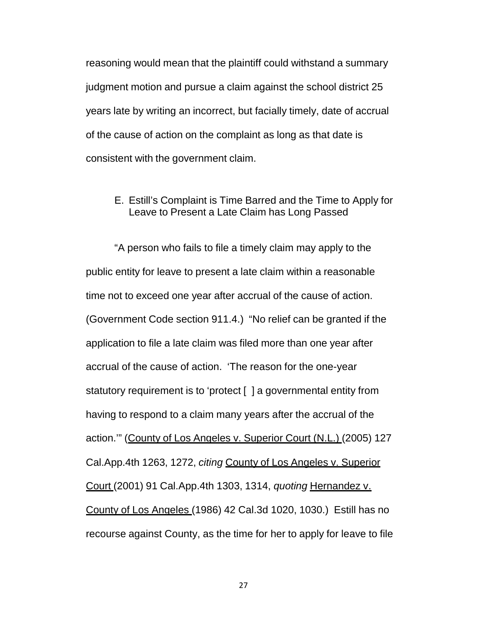reasoning would mean that the plaintiff could withstand a summary judgment motion and pursue a claim against the school district 25 years late by writing an incorrect, but facially timely, date of accrual of the cause of action on the complaint as long as that date is consistent with the government claim.

#### E. Estill's Complaint is Time Barred and the Time to Apply for Leave to Present a Late Claim has Long Passed

"A person who fails to file a timely claim may apply to the public entity for leave to present a late claim within a reasonable time not to exceed one year after accrual of the cause of action. (Government Code section 911.4.) "No relief can be granted if the application to file a late claim was filed more than one year after accrual of the cause of action. 'The reason for the one-year statutory requirement is to 'protect [ ] a governmental entity from having to respond to a claim many years after the accrual of the action.'" (County of Los Angeles v. Superior Court (N.L.) (2005) 127 Cal.App.4th 1263, 1272, *citing* County of Los Angeles v. Superior Court (2001) 91 Cal.App.4th 1303, 1314, *quoting* Hernandez v. County of Los Angeles (1986) 42 Cal.3d 1020, 1030.) Estill has no recourse against County, as the time for her to apply for leave to file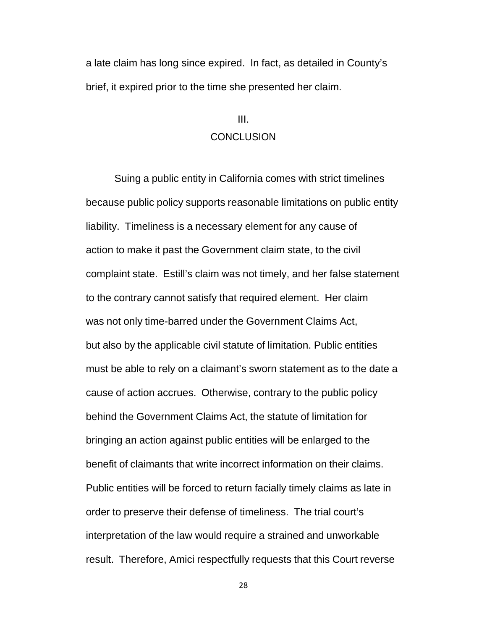a late claim has long since expired. In fact, as detailed in County's brief, it expired prior to the time she presented her claim.

## III. CONCLUSION

Suing a public entity in California comes with strict timelines because public policy supports reasonable limitations on public entity liability. Timeliness is a necessary element for any cause of action to make it past the Government claim state, to the civil complaint state. Estill's claim was not timely, and her false statement to the contrary cannot satisfy that required element. Her claim was not only time-barred under the Government Claims Act, but also by the applicable civil statute of limitation. Public entities must be able to rely on a claimant's sworn statement as to the date a cause of action accrues. Otherwise, contrary to the public policy behind the Government Claims Act, the statute of limitation for bringing an action against public entities will be enlarged to the benefit of claimants that write incorrect information on their claims. Public entities will be forced to return facially timely claims as late in order to preserve their defense of timeliness. The trial court's interpretation of the law would require a strained and unworkable result. Therefore, Amici respectfully requests that this Court reverse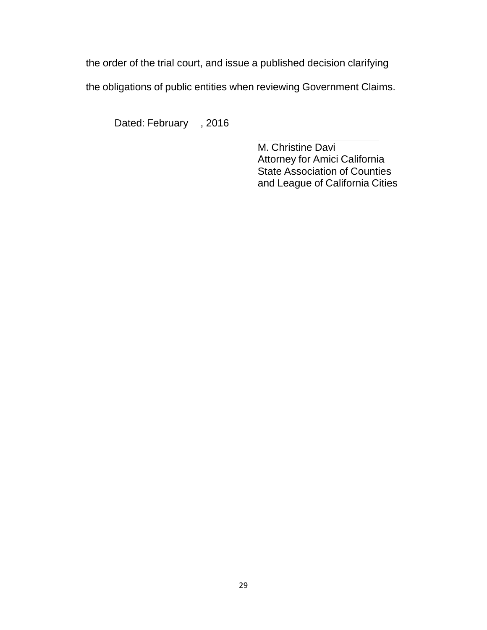the order of the trial court, and issue a published decision clarifying

the obligations of public entities when reviewing Government Claims.

Dated: February , 2016

M. Christine Davi Attorney for Amici California State Association of Counties and League of California Cities